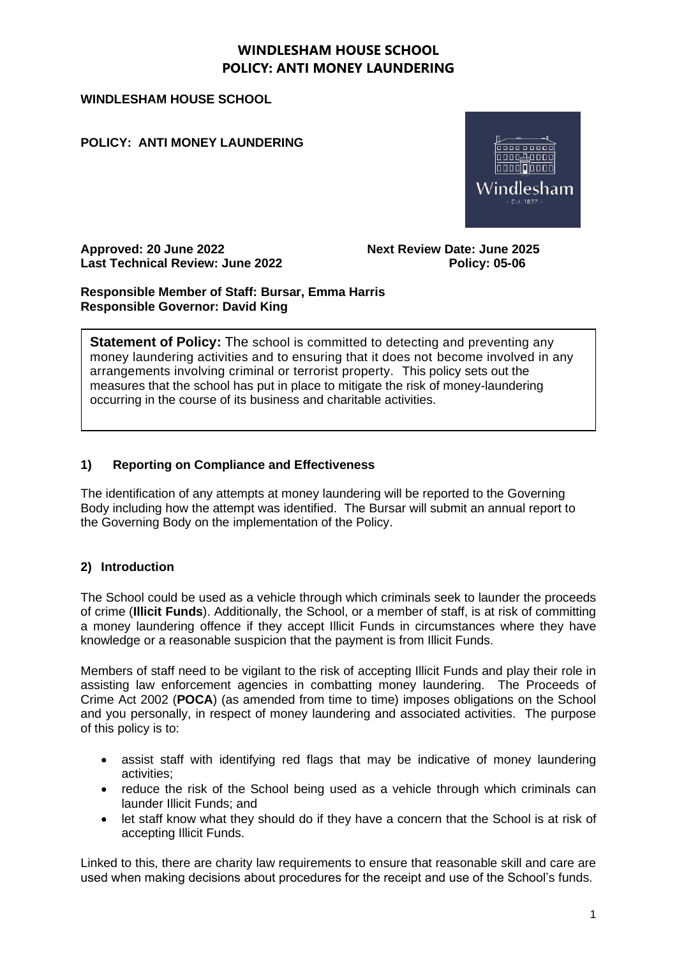#### **WINDLESHAM HOUSE SCHOOL**

**POLICY: ANTI MONEY LAUNDERING**



**Approved: 20 June 2022 Next Review Date: June 2025 Last Technical Review: June 2022 Policy: 05-06**

**Responsible Member of Staff: Bursar, Emma Harris Responsible Governor: David King**

**Statement of Policy:** The school is committed to detecting and preventing any money laundering activities and to ensuring that it does not become involved in any arrangements involving criminal or terrorist property. This policy sets out the measures that the school has put in place to mitigate the risk of money-laundering occurring in the course of its business and charitable activities.

### **1) Reporting on Compliance and Effectiveness**

The identification of any attempts at money laundering will be reported to the Governing Body including how the attempt was identified. The Bursar will submit an annual report to the Governing Body on the implementation of the Policy.

### **2) Introduction**

The School could be used as a vehicle through which criminals seek to launder the proceeds of crime (**Illicit Funds**). Additionally, the School, or a member of staff, is at risk of committing a money laundering offence if they accept Illicit Funds in circumstances where they have knowledge or a reasonable suspicion that the payment is from Illicit Funds.

Members of staff need to be vigilant to the risk of accepting Illicit Funds and play their role in assisting law enforcement agencies in combatting money laundering. The Proceeds of Crime Act 2002 (**POCA**) (as amended from time to time) imposes obligations on the School and you personally, in respect of money laundering and associated activities. The purpose of this policy is to:

- assist staff with identifying red flags that may be indicative of money laundering activities;
- reduce the risk of the School being used as a vehicle through which criminals can launder Illicit Funds; and
- let staff know what they should do if they have a concern that the School is at risk of accepting Illicit Funds.

Linked to this, there are charity law requirements to ensure that reasonable skill and care are used when making decisions about procedures for the receipt and use of the School's funds.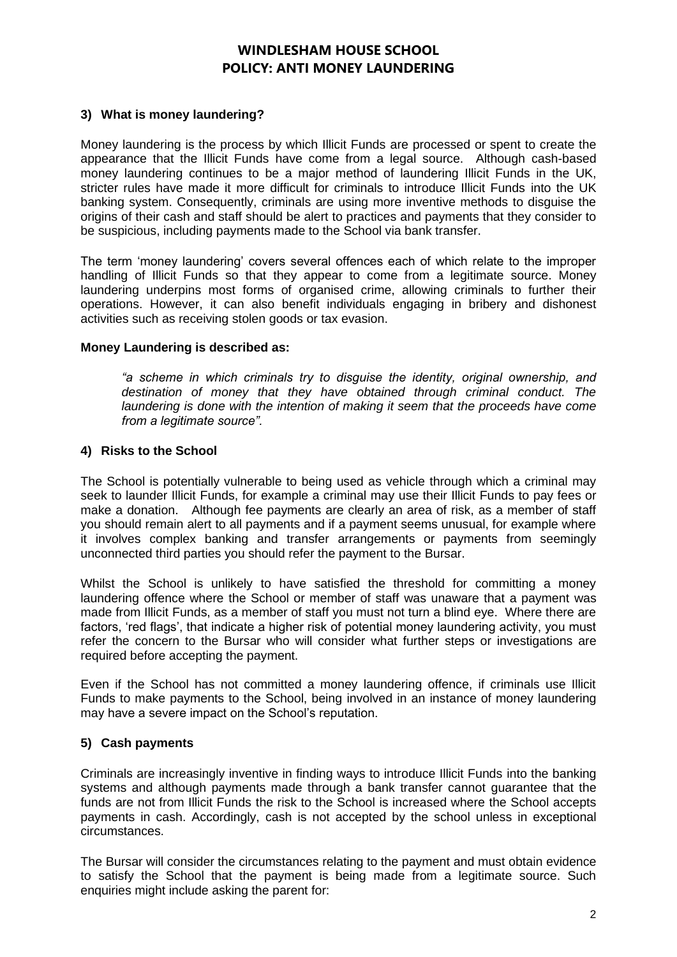### **3) What is money laundering?**

Money laundering is the process by which Illicit Funds are processed or spent to create the appearance that the Illicit Funds have come from a legal source. Although cash-based money laundering continues to be a major method of laundering Illicit Funds in the UK, stricter rules have made it more difficult for criminals to introduce Illicit Funds into the UK banking system. Consequently, criminals are using more inventive methods to disguise the origins of their cash and staff should be alert to practices and payments that they consider to be suspicious, including payments made to the School via bank transfer.

The term 'money laundering' covers several offences each of which relate to the improper handling of Illicit Funds so that they appear to come from a legitimate source. Money laundering underpins most forms of organised crime, allowing criminals to further their operations. However, it can also benefit individuals engaging in bribery and dishonest activities such as receiving stolen goods or tax evasion.

#### **Money Laundering is described as:**

*"a scheme in which criminals try to disguise the identity, original ownership, and destination of money that they have obtained through criminal conduct. The*  laundering is done with the intention of making it seem that the proceeds have come *from a legitimate source".*

#### **4) Risks to the School**

The School is potentially vulnerable to being used as vehicle through which a criminal may seek to launder Illicit Funds, for example a criminal may use their Illicit Funds to pay fees or make a donation. Although fee payments are clearly an area of risk, as a member of staff you should remain alert to all payments and if a payment seems unusual, for example where it involves complex banking and transfer arrangements or payments from seemingly unconnected third parties you should refer the payment to the Bursar.

Whilst the School is unlikely to have satisfied the threshold for committing a money laundering offence where the School or member of staff was unaware that a payment was made from Illicit Funds, as a member of staff you must not turn a blind eye. Where there are factors, 'red flags', that indicate a higher risk of potential money laundering activity, you must refer the concern to the Bursar who will consider what further steps or investigations are required before accepting the payment.

Even if the School has not committed a money laundering offence, if criminals use Illicit Funds to make payments to the School, being involved in an instance of money laundering may have a severe impact on the School's reputation.

### **5) Cash payments**

Criminals are increasingly inventive in finding ways to introduce Illicit Funds into the banking systems and although payments made through a bank transfer cannot guarantee that the funds are not from Illicit Funds the risk to the School is increased where the School accepts payments in cash. Accordingly, cash is not accepted by the school unless in exceptional circumstances.

The Bursar will consider the circumstances relating to the payment and must obtain evidence to satisfy the School that the payment is being made from a legitimate source. Such enquiries might include asking the parent for: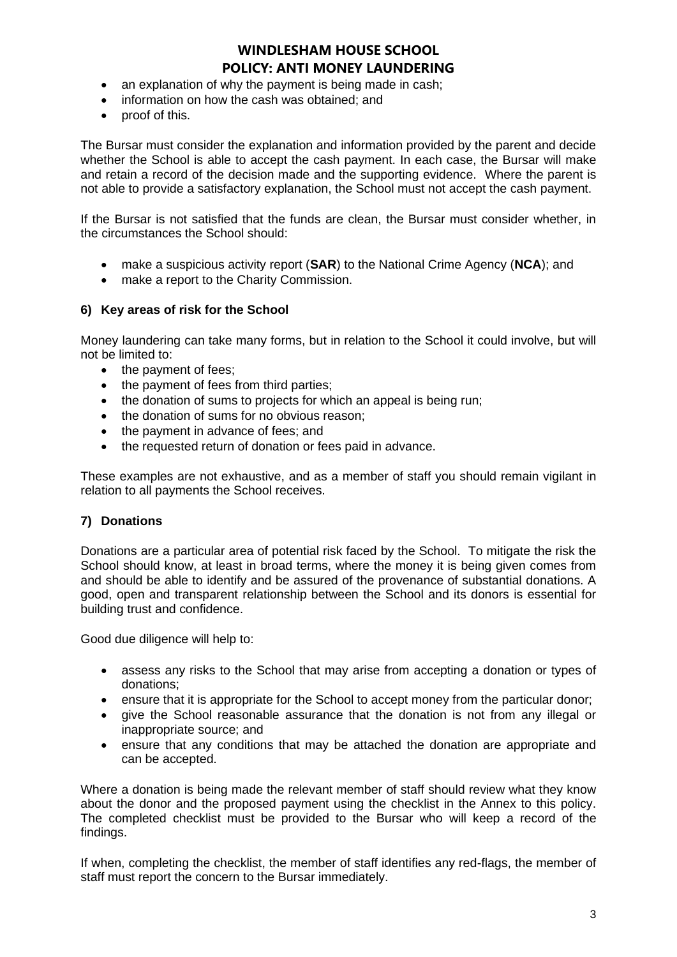- an explanation of why the payment is being made in cash;
- information on how the cash was obtained; and
- proof of this.

The Bursar must consider the explanation and information provided by the parent and decide whether the School is able to accept the cash payment. In each case, the Bursar will make and retain a record of the decision made and the supporting evidence. Where the parent is not able to provide a satisfactory explanation, the School must not accept the cash payment.

If the Bursar is not satisfied that the funds are clean, the Bursar must consider whether, in the circumstances the School should:

- make a suspicious activity report (**SAR**) to the National Crime Agency (**NCA**); and
- make a report to the Charity Commission.

#### **6) Key areas of risk for the School**

Money laundering can take many forms, but in relation to the School it could involve, but will not be limited to:

- the payment of fees:
- the payment of fees from third parties;
- the donation of sums to projects for which an appeal is being run;
- the donation of sums for no obvious reason;
- the payment in advance of fees; and
- the requested return of donation or fees paid in advance.

These examples are not exhaustive, and as a member of staff you should remain vigilant in relation to all payments the School receives.

#### **7) Donations**

Donations are a particular area of potential risk faced by the School. To mitigate the risk the School should know, at least in broad terms, where the money it is being given comes from and should be able to identify and be assured of the provenance of substantial donations. A good, open and transparent relationship between the School and its donors is essential for building trust and confidence.

Good due diligence will help to:

- assess any risks to the School that may arise from accepting a donation or types of donations;
- ensure that it is appropriate for the School to accept money from the particular donor;
- give the School reasonable assurance that the donation is not from any illegal or inappropriate source; and
- ensure that any conditions that may be attached the donation are appropriate and can be accepted.

Where a donation is being made the relevant member of staff should review what they know about the donor and the proposed payment using the checklist in the Annex to this policy. The completed checklist must be provided to the Bursar who will keep a record of the findings.

If when, completing the checklist, the member of staff identifies any red-flags, the member of staff must report the concern to the Bursar immediately.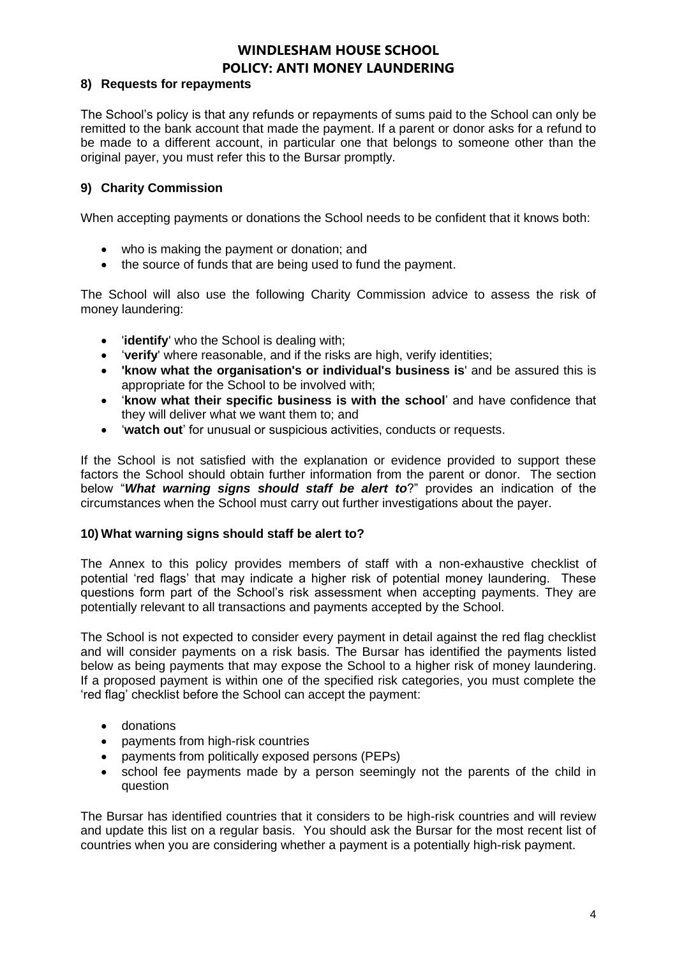### **8) Requests for repayments**

The School's policy is that any refunds or repayments of sums paid to the School can only be remitted to the bank account that made the payment. If a parent or donor asks for a refund to be made to a different account, in particular one that belongs to someone other than the original payer, you must refer this to the Bursar promptly.

### **9) Charity Commission**

When accepting payments or donations the School needs to be confident that it knows both:

- who is making the payment or donation; and
- the source of funds that are being used to fund the payment.

The School will also use the following Charity Commission advice to assess the risk of money laundering:

- '**identify**' who the School is dealing with;
- 'verify' where reasonable, and if the risks are high, verify identities;
- **'know what the organisation's or individual's business is**' and be assured this is appropriate for the School to be involved with;
- '**know what their specific business is with the school**' and have confidence that they will deliver what we want them to; and
- '**watch out**' for unusual or suspicious activities, conducts or requests.

If the School is not satisfied with the explanation or evidence provided to support these factors the School should obtain further information from the parent or donor. The section below "*What warning signs should staff be alert to*?" provides an indication of the circumstances when the School must carry out further investigations about the payer.

#### **10) What warning signs should staff be alert to?**

The Annex to this policy provides members of staff with a non-exhaustive checklist of potential 'red flags' that may indicate a higher risk of potential money laundering. These questions form part of the School's risk assessment when accepting payments. They are potentially relevant to all transactions and payments accepted by the School.

The School is not expected to consider every payment in detail against the red flag checklist and will consider payments on a risk basis. The Bursar has identified the payments listed below as being payments that may expose the School to a higher risk of money laundering. If a proposed payment is within one of the specified risk categories, you must complete the 'red flag' checklist before the School can accept the payment:

- donations
- payments from high-risk countries
- payments from politically exposed persons (PEPs)
- school fee payments made by a person seemingly not the parents of the child in question

The Bursar has identified countries that it considers to be high-risk countries and will review and update this list on a regular basis. You should ask the Bursar for the most recent list of countries when you are considering whether a payment is a potentially high-risk payment.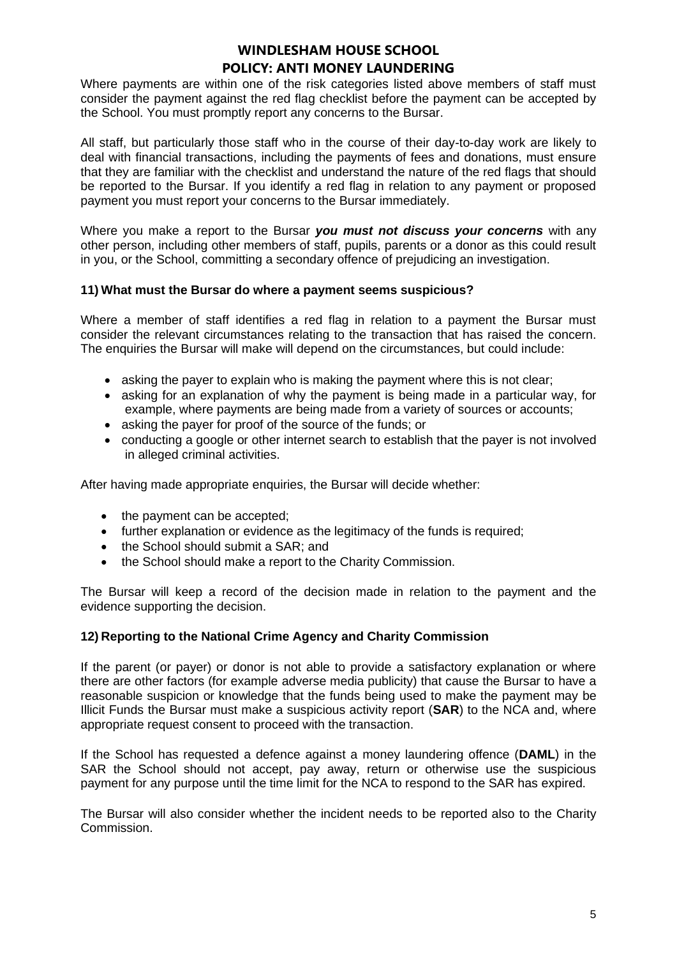Where payments are within one of the risk categories listed above members of staff must consider the payment against the red flag checklist before the payment can be accepted by the School. You must promptly report any concerns to the Bursar.

All staff, but particularly those staff who in the course of their day-to-day work are likely to deal with financial transactions, including the payments of fees and donations, must ensure that they are familiar with the checklist and understand the nature of the red flags that should be reported to the Bursar. If you identify a red flag in relation to any payment or proposed payment you must report your concerns to the Bursar immediately.

Where you make a report to the Bursar *you must not discuss your concerns* with any other person, including other members of staff, pupils, parents or a donor as this could result in you, or the School, committing a secondary offence of prejudicing an investigation.

#### **11) What must the Bursar do where a payment seems suspicious?**

Where a member of staff identifies a red flag in relation to a payment the Bursar must consider the relevant circumstances relating to the transaction that has raised the concern. The enquiries the Bursar will make will depend on the circumstances, but could include:

- asking the payer to explain who is making the payment where this is not clear;
- asking for an explanation of why the payment is being made in a particular way, for example, where payments are being made from a variety of sources or accounts;
- asking the payer for proof of the source of the funds; or
- conducting a google or other internet search to establish that the payer is not involved in alleged criminal activities.

After having made appropriate enquiries, the Bursar will decide whether:

- the payment can be accepted;
- further explanation or evidence as the legitimacy of the funds is required:
- the School should submit a SAR; and
- the School should make a report to the Charity Commission.

The Bursar will keep a record of the decision made in relation to the payment and the evidence supporting the decision.

#### **12) Reporting to the National Crime Agency and Charity Commission**

If the parent (or payer) or donor is not able to provide a satisfactory explanation or where there are other factors (for example adverse media publicity) that cause the Bursar to have a reasonable suspicion or knowledge that the funds being used to make the payment may be Illicit Funds the Bursar must make a suspicious activity report (**SAR**) to the NCA and, where appropriate request consent to proceed with the transaction.

If the School has requested a defence against a money laundering offence (**DAML**) in the SAR the School should not accept, pay away, return or otherwise use the suspicious payment for any purpose until the time limit for the NCA to respond to the SAR has expired.

The Bursar will also consider whether the incident needs to be reported also to the Charity Commission.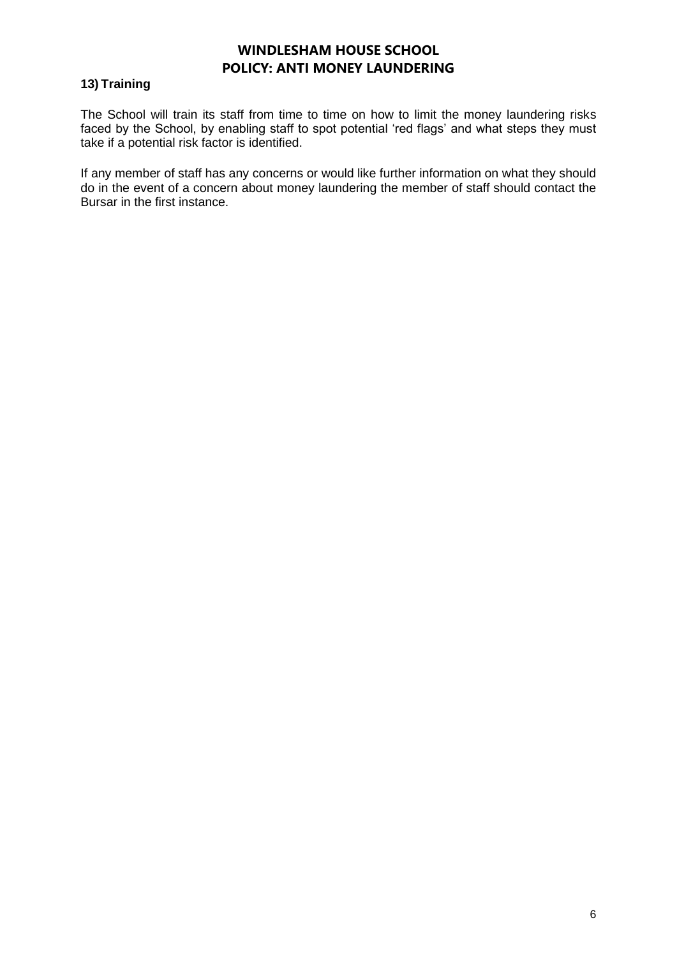## **13) Training**

The School will train its staff from time to time on how to limit the money laundering risks faced by the School, by enabling staff to spot potential 'red flags' and what steps they must take if a potential risk factor is identified.

If any member of staff has any concerns or would like further information on what they should do in the event of a concern about money laundering the member of staff should contact the Bursar in the first instance.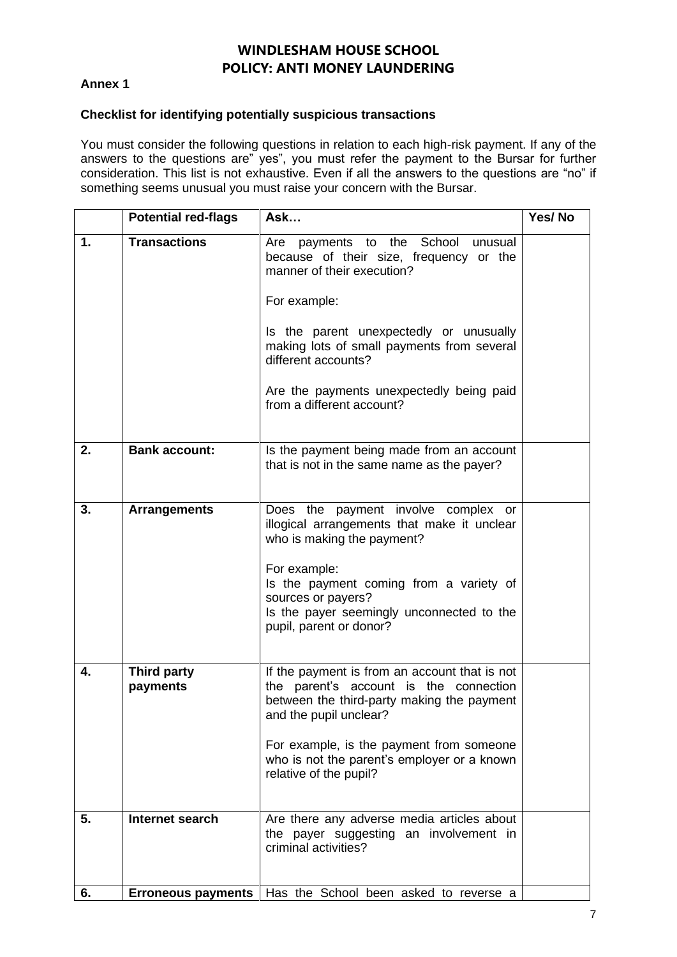### **Annex 1**

#### **Checklist for identifying potentially suspicious transactions**

You must consider the following questions in relation to each high-risk payment. If any of the answers to the questions are" yes", you must refer the payment to the Bursar for further consideration. This list is not exhaustive. Even if all the answers to the questions are "no" if something seems unusual you must raise your concern with the Bursar.

|    | <b>Potential red-flags</b>     | Ask                                                                                                                                                                                                                                                                                                                        | Yes/No |
|----|--------------------------------|----------------------------------------------------------------------------------------------------------------------------------------------------------------------------------------------------------------------------------------------------------------------------------------------------------------------------|--------|
| 1. | <b>Transactions</b>            | payments to the School<br>Are<br>unusual<br>because of their size, frequency or the<br>manner of their execution?<br>For example:<br>Is the parent unexpectedly or unusually<br>making lots of small payments from several<br>different accounts?<br>Are the payments unexpectedly being paid<br>from a different account? |        |
| 2. | <b>Bank account:</b>           | Is the payment being made from an account<br>that is not in the same name as the payer?                                                                                                                                                                                                                                    |        |
| 3. | <b>Arrangements</b>            | Does the payment involve complex or<br>illogical arrangements that make it unclear<br>who is making the payment?<br>For example:<br>Is the payment coming from a variety of<br>sources or payers?<br>Is the payer seemingly unconnected to the<br>pupil, parent or donor?                                                  |        |
| 4. | <b>Third party</b><br>payments | If the payment is from an account that is not<br>the parent's account is the connection<br>between the third-party making the payment<br>and the pupil unclear?<br>For example, is the payment from someone<br>who is not the parent's employer or a known<br>relative of the pupil?                                       |        |
| 5. | Internet search                | Are there any adverse media articles about<br>the payer suggesting an involvement in<br>criminal activities?                                                                                                                                                                                                               |        |
| 6. | <b>Erroneous payments</b>      | Has the School been asked to reverse a                                                                                                                                                                                                                                                                                     |        |